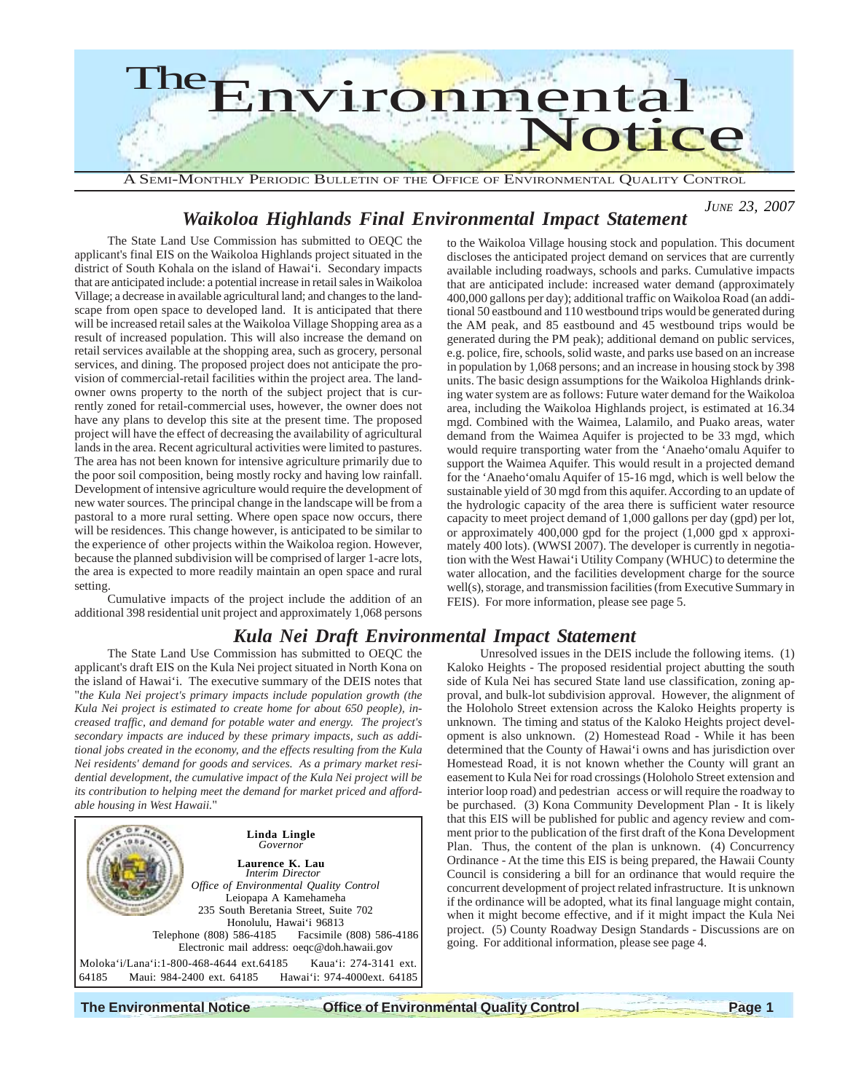

#### *JUNE 23, 2007 Waikoloa Highlands Final Environmental Impact Statement*

The State Land Use Commission has submitted to OEQC the applicant's final EIS on the Waikoloa Highlands project situated in the district of South Kohala on the island of Hawai'i. Secondary impacts that are anticipated include: a potential increase in retail sales in Waikoloa Village; a decrease in available agricultural land; and changes to the landscape from open space to developed land. It is anticipated that there will be increased retail sales at the Waikoloa Village Shopping area as a result of increased population. This will also increase the demand on retail services available at the shopping area, such as grocery, personal services, and dining. The proposed project does not anticipate the provision of commercial-retail facilities within the project area. The landowner owns property to the north of the subject project that is currently zoned for retail-commercial uses, however, the owner does not have any plans to develop this site at the present time. The proposed project will have the effect of decreasing the availability of agricultural lands in the area. Recent agricultural activities were limited to pastures. The area has not been known for intensive agriculture primarily due to the poor soil composition, being mostly rocky and having low rainfall. Development of intensive agriculture would require the development of new water sources. The principal change in the landscape will be from a pastoral to a more rural setting. Where open space now occurs, there will be residences. This change however, is anticipated to be similar to the experience of other projects within the Waikoloa region. However, because the planned subdivision will be comprised of larger 1-acre lots, the area is expected to more readily maintain an open space and rural setting.

Cumulative impacts of the project include the addition of an additional 398 residential unit project and approximately 1,068 persons

## *Kula Nei Draft Environmental Impact Statement*

The State Land Use Commission has submitted to OEQC the applicant's draft EIS on the Kula Nei project situated in North Kona on the island of Hawai'i. The executive summary of the DEIS notes that "*the Kula Nei project's primary impacts include population growth (the Kula Nei project is estimated to create home for about 650 people), increased traffic, and demand for potable water and energy. The project's secondary impacts are induced by these primary impacts, such as additional jobs created in the economy, and the effects resulting from the Kula Nei residents' demand for goods and services. As a primary market residential development, the cumulative impact of the Kula Nei project will be its contribution to helping meet the demand for market priced and affordable housing in West Hawaii.*"



to the Waikoloa Village housing stock and population. This document discloses the anticipated project demand on services that are currently available including roadways, schools and parks. Cumulative impacts that are anticipated include: increased water demand (approximately 400,000 gallons per day); additional traffic on Waikoloa Road (an additional 50 eastbound and 110 westbound trips would be generated during the AM peak, and 85 eastbound and 45 westbound trips would be generated during the PM peak); additional demand on public services, e.g. police, fire, schools, solid waste, and parks use based on an increase in population by 1,068 persons; and an increase in housing stock by 398 units. The basic design assumptions for the Waikoloa Highlands drinking water system are as follows: Future water demand for the Waikoloa area, including the Waikoloa Highlands project, is estimated at 16.34 mgd. Combined with the Waimea, Lalamilo, and Puako areas, water demand from the Waimea Aquifer is projected to be 33 mgd, which would require transporting water from the 'Anaeho'omalu Aquifer to support the Waimea Aquifer. This would result in a projected demand for the 'Anaeho'omalu Aquifer of 15-16 mgd, which is well below the sustainable yield of 30 mgd from this aquifer. According to an update of the hydrologic capacity of the area there is sufficient water resource capacity to meet project demand of 1,000 gallons per day (gpd) per lot, or approximately 400,000 gpd for the project (1,000 gpd x approximately 400 lots). (WWSI 2007). The developer is currently in negotiation with the West Hawai'i Utility Company (WHUC) to determine the water allocation, and the facilities development charge for the source well(s), storage, and transmission facilities (from Executive Summary in FEIS). For more information, please see page 5.

Unresolved issues in the DEIS include the following items. (1) Kaloko Heights - The proposed residential project abutting the south side of Kula Nei has secured State land use classification, zoning approval, and bulk-lot subdivision approval. However, the alignment of the Holoholo Street extension across the Kaloko Heights property is unknown. The timing and status of the Kaloko Heights project development is also unknown. (2) Homestead Road - While it has been determined that the County of Hawai'i owns and has jurisdiction over Homestead Road, it is not known whether the County will grant an easement to Kula Nei for road crossings (Holoholo Street extension and interior loop road) and pedestrian access or will require the roadway to be purchased. (3) Kona Community Development Plan - It is likely that this EIS will be published for public and agency review and comment prior to the publication of the first draft of the Kona Development Plan. Thus, the content of the plan is unknown. (4) Concurrency Ordinance - At the time this EIS is being prepared, the Hawaii County Council is considering a bill for an ordinance that would require the concurrent development of project related infrastructure. It is unknown if the ordinance will be adopted, what its final language might contain, when it might become effective, and if it might impact the Kula Nei project. (5) County Roadway Design Standards - Discussions are on going. For additional information, please see page 4.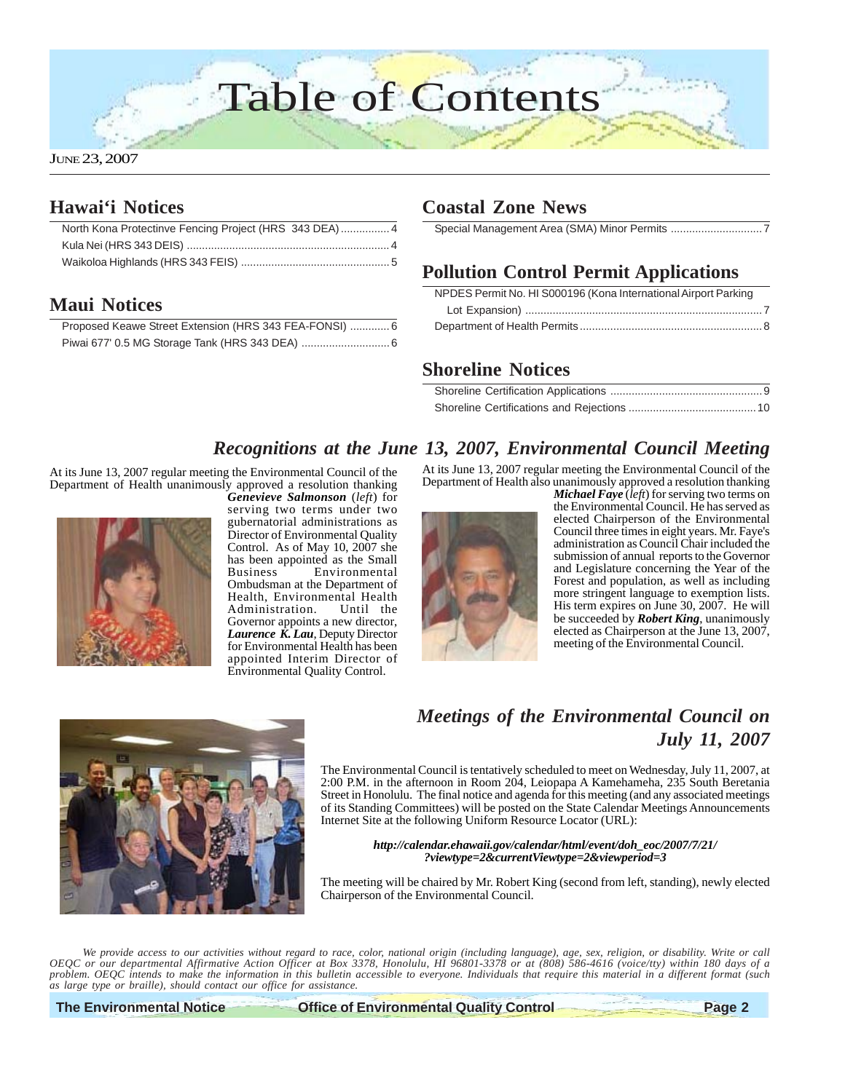## Table of Contents

## **Hawai'i Notices**

| North Kona Protectinve Fencing Project (HRS 343 DEA) 4 |  |
|--------------------------------------------------------|--|
|                                                        |  |
|                                                        |  |

## **Maui Notices**

| Proposed Keawe Street Extension (HRS 343 FEA-FONSI)  6 |  |
|--------------------------------------------------------|--|
|                                                        |  |

## **Coastal Zone News**

Special Management Area (SMA) Minor Permits ...............................

## **Pollution Control Permit Applications**

| NPDES Permit No. HI S000196 (Kona International Airport Parking |  |
|-----------------------------------------------------------------|--|
|                                                                 |  |
|                                                                 |  |

## **Shoreline Notices**

## *Recognitions at the June 13, 2007, Environmental Council Meeting*

At its June 13, 2007 regular meeting the Environmental Council of the Department of Health unanimously approved a resolution thanking



*Genevieve Salmonson* (*left*) for serving two terms under two gubernatorial administrations as Director of Environmental Quality Control. As of May 10, 2007 she has been appointed as the Small<br>Business Environmental Environmental Ombudsman at the Department of Health, Environmental Health<br>Administration. Until the Administration. Governor appoints a new director, *Laurence K. Lau*, Deputy Director for Environmental Health has been appointed Interim Director of Environmental Quality Control.

At its June 13, 2007 regular meeting the Environmental Council of the Department of Health also unanimously approved a resolution thanking



*Michael Faye* (*left*) for serving two terms on the Environmental Council. He has served as elected Chairperson of the Environmental Council three times in eight years. Mr. Faye's administration as Council Chair included the submission of annual reports to the Governor and Legislature concerning the Year of the Forest and population, as well as including more stringent language to exemption lists. His term expires on June 30, 2007. He will be succeeded by *Robert King*, unanimously elected as Chairperson at the June 13, 2007, meeting of the Environmental Council.



## *Meetings of the Environmental Council on July 11, 2007*

The Environmental Council is tentatively scheduled to meet on Wednesday, July 11, 2007, at 2:00 P.M. in the afternoon in Room 204, Leiopapa A Kamehameha, 235 South Beretania Street in Honolulu. The final notice and agenda for this meeting (and any associated meetings of its Standing Committees) will be posted on the State Calendar Meetings Announcements Internet Site at the following Uniform Resource Locator (URL):

#### *http://calendar.ehawaii.gov/calendar/html/event/doh\_eoc/2007/7/21/ ?viewtype=2&currentViewtype=2&viewperiod=3*

The meeting will be chaired by Mr. Robert King (second from left, standing), newly elected Chairperson of the Environmental Council.

*We provide access to our activities without regard to race, color, national origin (including language), age, sex, religion, or disability. Write or call OEQC or our departmental Affirmative Action Officer at Box 3378, Honolulu, HI 96801-3378 or at (808) 586-4616 (voice/tty) within 180 days of a problem. OEQC intends to make the information in this bulletin accessible to everyone. Individuals that require this material in a different format (such as large type or braille), should contact our office for assistance.*

**The Environmental Notice Control Page 2** Office of Environmental Quality Control Page 2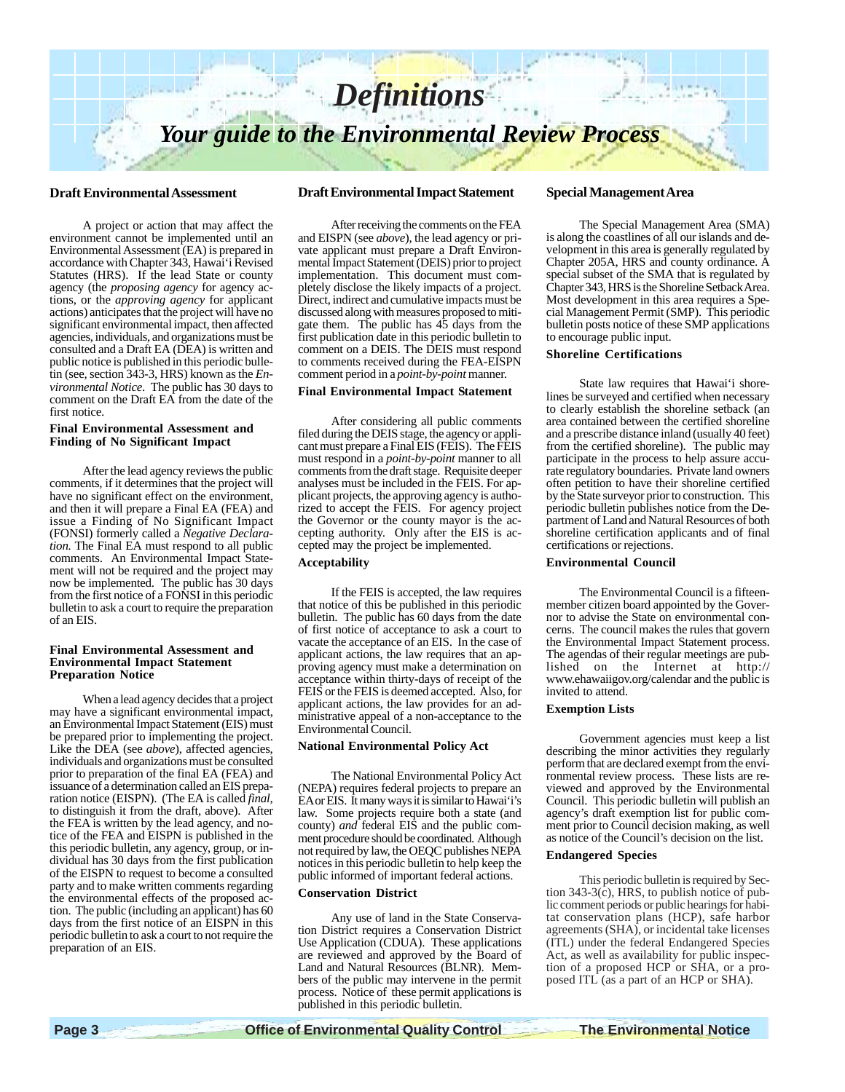

#### **Draft Environmental Assessment**

A project or action that may affect the environment cannot be implemented until an Environmental Assessment (EA) is prepared in accordance with Chapter 343, Hawai'i Revised Statutes (HRS). If the lead State or county agency (the *proposing agency* for agency actions, or the *approving agency* for applicant actions) anticipates that the project will have no significant environmental impact, then affected agencies, individuals, and organizations must be consulted and a Draft EA (DEA) is written and public notice is published in this periodic bulletin (see, section 343-3, HRS) known as the *Environmental Notice*. The public has 30 days to comment on the Draft EA from the date of the first notice.

#### **Final Environmental Assessment and Finding of No Significant Impact**

After the lead agency reviews the public comments, if it determines that the project will have no significant effect on the environment, and then it will prepare a Final EA (FEA) and issue a Finding of No Significant Impact (FONSI) formerly called a *Negative Declaration.* The Final EA must respond to all public comments. An Environmental Impact Statement will not be required and the project may now be implemented. The public has 30 days from the first notice of a FONSI in this periodic bulletin to ask a court to require the preparation of an EIS.

#### **Final Environmental Assessment and Environmental Impact Statement Preparation Notice**

When a lead agency decides that a project may have a significant environmental impact, an Environmental Impact Statement (EIS) must be prepared prior to implementing the project. Like the DEA (see *above*), affected agencies, individuals and organizations must be consulted prior to preparation of the final EA (FEA) and issuance of a determination called an EIS preparation notice (EISPN). (The EA is called *final*, to distinguish it from the draft, above). After the FEA is written by the lead agency, and notice of the FEA and EISPN is published in the this periodic bulletin, any agency, group, or individual has 30 days from the first publication of the EISPN to request to become a consulted party and to make written comments regarding the environmental effects of the proposed action. The public (including an applicant) has 60 days from the first notice of an EISPN in this periodic bulletin to ask a court to not require the preparation of an EIS.

#### **Draft Environmental Impact Statement**

After receiving the comments on the FEA and EISPN (see *above*), the lead agency or private applicant must prepare a Draft Environmental Impact Statement (DEIS) prior to project implementation. This document must completely disclose the likely impacts of a project. Direct, indirect and cumulative impacts must be discussed along with measures proposed to mitigate them. The public has 45 days from the first publication date in this periodic bulletin to comment on a DEIS. The DEIS must respond to comments received during the FEA-EISPN comment period in a *point-by-point* manner.

#### **Final Environmental Impact Statement**

After considering all public comments filed during the DEIS stage, the agency or applicant must prepare a Final EIS (FEIS). The FEIS must respond in a *point-by-point* manner to all comments from the draft stage. Requisite deeper analyses must be included in the FEIS. For applicant projects, the approving agency is authorized to accept the FEIS. For agency project the Governor or the county mayor is the accepting authority. Only after the EIS is accepted may the project be implemented.

#### **Acceptability**

If the FEIS is accepted, the law requires that notice of this be published in this periodic bulletin. The public has 60 days from the date of first notice of acceptance to ask a court to vacate the acceptance of an EIS. In the case of applicant actions, the law requires that an approving agency must make a determination on acceptance within thirty-days of receipt of the FEIS or the FEIS is deemed accepted. Also, for applicant actions, the law provides for an administrative appeal of a non-acceptance to the Environmental Council.

#### **National Environmental Policy Act**

The National Environmental Policy Act (NEPA) requires federal projects to prepare an EA or EIS. It many ways it is similar to Hawai'i's law. Some projects require both a state (and county) *and* federal EIS and the public comment procedure should be coordinated. Although not required by law, the OEQC publishes NEPA notices in this periodic bulletin to help keep the public informed of important federal actions.

#### **Conservation District**

Any use of land in the State Conservation District requires a Conservation District Use Application (CDUA). These applications are reviewed and approved by the Board of Land and Natural Resources (BLNR). Members of the public may intervene in the permit process. Notice of these permit applications is published in this periodic bulletin.

#### **Special Management Area**

The Special Management Area (SMA) is along the coastlines of all our islands and development in this area is generally regulated by Chapter 205A, HRS and county ordinance. A special subset of the SMA that is regulated by Chapter 343, HRS is the Shoreline Setback Area. Most development in this area requires a Special Management Permit (SMP). This periodic bulletin posts notice of these SMP applications to encourage public input.

#### **Shoreline Certifications**

State law requires that Hawai'i shorelines be surveyed and certified when necessary to clearly establish the shoreline setback (an area contained between the certified shoreline and a prescribe distance inland (usually 40 feet) from the certified shoreline). The public may participate in the process to help assure accurate regulatory boundaries. Private land owners often petition to have their shoreline certified by the State surveyor prior to construction. This periodic bulletin publishes notice from the Department of Land and Natural Resources of both shoreline certification applicants and of final certifications or rejections.

#### **Environmental Council**

The Environmental Council is a fifteenmember citizen board appointed by the Governor to advise the State on environmental concerns. The council makes the rules that govern the Environmental Impact Statement process. The agendas of their regular meetings are published on the Internet at http:// www.ehawaiigov.org/calendar and the public is invited to attend.

#### **Exemption Lists**

Government agencies must keep a list describing the minor activities they regularly perform that are declared exempt from the environmental review process. These lists are reviewed and approved by the Environmental Council. This periodic bulletin will publish an agency's draft exemption list for public comment prior to Council decision making, as well as notice of the Council's decision on the list.

#### **Endangered Species**

This periodic bulletin is required by Section  $343-3(c)$ , HRS, to publish notice of public comment periods or public hearings for habitat conservation plans (HCP), safe harbor agreements (SHA), or incidental take licenses (ITL) under the federal Endangered Species Act, as well as availability for public inspection of a proposed HCP or SHA, or a proposed ITL (as a part of an HCP or SHA).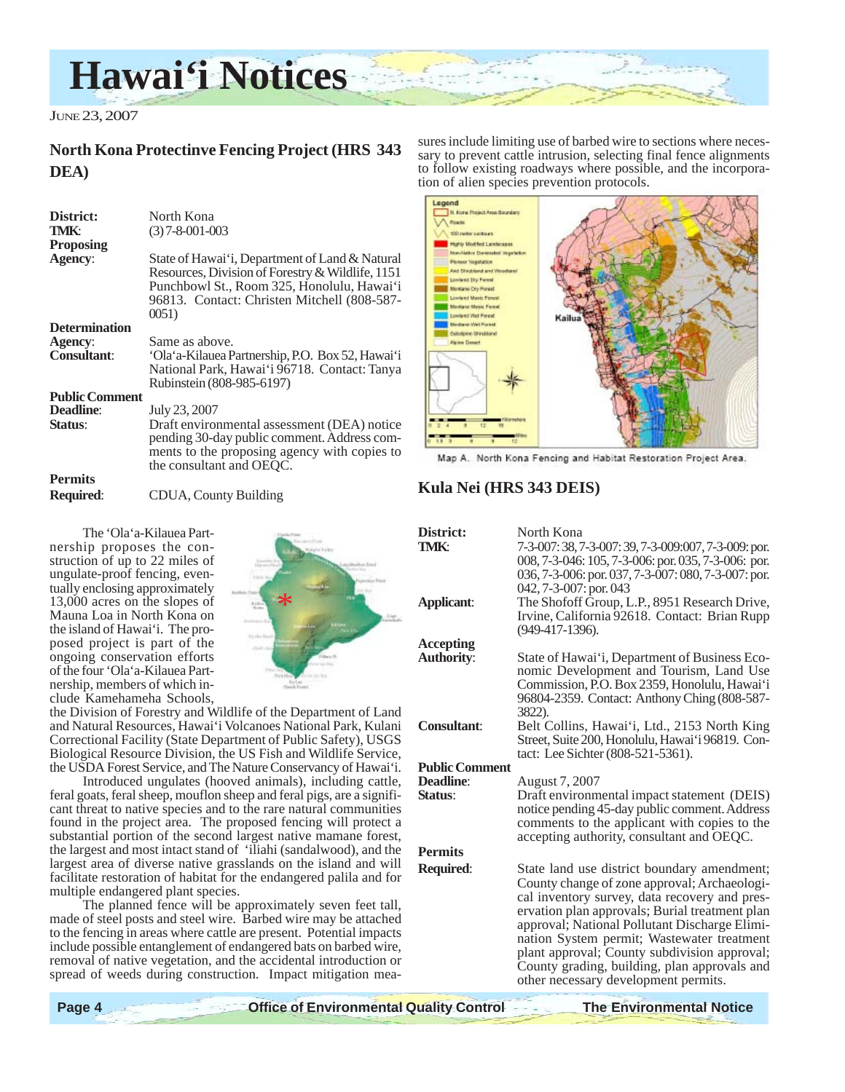## **Hawai'i Notices**

JUNE 23, 2007

## **North Kona Protectinve Fencing Project (HRS 343 DEA)**

| District:<br>TMK:           | North Kona<br>$(3)$ 7-8-001-003                                                                                                                                                                          |
|-----------------------------|----------------------------------------------------------------------------------------------------------------------------------------------------------------------------------------------------------|
| <b>Proposing</b><br>Agency: | State of Hawai'i, Department of Land & Natural<br>Resources, Division of Forestry & Wildlife, 1151<br>Punchbowl St., Room 325, Honolulu, Hawai'i<br>96813. Contact: Christen Mitchell (808-587-<br>0051) |
| <b>Determination</b>        |                                                                                                                                                                                                          |
| Agency:                     | Same as above.                                                                                                                                                                                           |
| <b>Consultant:</b>          | 'Ola'a-Kilauea Partnership, P.O. Box 52, Hawai'i<br>National Park, Hawai'i 96718. Contact: Tanya<br>Rubinstein (808-985-6197)                                                                            |
| <b>Public Comment</b>       |                                                                                                                                                                                                          |
| <b>Deadline:</b><br>Status: | July 23, 2007<br>Draft environmental assessment (DEA) notice<br>pending 30-day public comment. Address com-<br>ments to the proposing agency with copies to<br>the consultant and OEOC.                  |
| <b>Permits</b>              |                                                                                                                                                                                                          |
| <b>Required:</b>            | CDUA, County Building                                                                                                                                                                                    |

sures include limiting use of barbed wire to sections where necessary to prevent cattle intrusion, selecting final fence alignments to follow existing roadways where possible, and the incorporation of alien species prevention protocols.



Map A. North Kona Fencing and Habitat Restoration Project Area.

#### **Kula Nei (HRS 343 DEIS)**

|                         | District:<br>TMK:     | North Kona<br>7-3-007: 38, 7-3-007: 39, 7-3-009:007, 7-3-009: por.<br>008, 7-3-046: 105, 7-3-006: por. 035, 7-3-006: por.<br>036, 7-3-006: por. 037, 7-3-007: 080, 7-3-007: por.<br>042, 7-3-007: por. 043 |
|-------------------------|-----------------------|------------------------------------------------------------------------------------------------------------------------------------------------------------------------------------------------------------|
|                         | <b>Applicant:</b>     | The Shofoff Group, L.P., 8951 Research Drive,<br>Irvine, California 92618. Contact: Brian Rupp<br>$(949-417-1396)$ .                                                                                       |
|                         | <b>Accepting</b>      |                                                                                                                                                                                                            |
|                         | <b>Authority:</b>     | State of Hawai'i, Department of Business Eco-<br>nomic Development and Tourism, Land Use<br>Commission, P.O. Box 2359, Honolulu, Hawai'i<br>96804-2359. Contact: Anthony Ching (808-587-                   |
|                         |                       | 3822).                                                                                                                                                                                                     |
| ]<br>;1<br>)            | <b>Consultant:</b>    | Belt Collins, Hawai'i, Ltd., 2153 North King<br>Street, Suite 200, Honolulu, Hawai'i 96819. Con-<br>tact: Lee Sichter (808-521-5361).                                                                      |
| ,                       | <b>Public Comment</b> |                                                                                                                                                                                                            |
|                         | <b>Deadline:</b>      | August 7, 2007                                                                                                                                                                                             |
| ,<br>-                  | Status:               | Draft environmental impact statement (DEIS)                                                                                                                                                                |
| Ŝ                       |                       | notice pending 45-day public comment. Address                                                                                                                                                              |
| ì                       |                       | comments to the applicant with copies to the<br>accepting authority, consultant and OEQC.                                                                                                                  |
| ,<br>21<br>r            | <b>Permits</b>        |                                                                                                                                                                                                            |
|                         |                       |                                                                                                                                                                                                            |
|                         | Required:             | State land use district boundary amendment;                                                                                                                                                                |
|                         |                       | County change of zone approval; Archaeologi-                                                                                                                                                               |
|                         |                       | cal inventory survey, data recovery and pres-                                                                                                                                                              |
|                         |                       | ervation plan approvals; Burial treatment plan                                                                                                                                                             |
| $\overline{\mathbf{s}}$ |                       | approval; National Pollutant Discharge Elimi-                                                                                                                                                              |
|                         |                       | nation System permit; Wastewater treatment                                                                                                                                                                 |
| r                       |                       | plant approval; County subdivision approval;                                                                                                                                                               |
|                         |                       | County grading, building, plan approvals and<br>other necessary development permits.                                                                                                                       |

#### The 'Ola'a-Kilauea Partnership proposes the construction of up to 22 miles of ungulate-proof fencing, eventually enclosing approximately 13,000 acres on the slopes of Mauna Loa in North Kona on the island of Hawai'i. The proposed project is part of the ongoing conservation efforts of the four 'Ola'a-Kilauea Partnership, members of which include Kamehameha Schools,

\*

the Division of Forestry and Wildlife of the Department of Land and Natural Resources, Hawai'i Volcanoes National Park, Kulani Correctional Facility (State Department of Public Safety), USGS Biological Resource Division, the US Fish and Wildlife Service, the USDA Forest Service, and The Nature Conservancy of Hawai'i.

Introduced ungulates (hooved animals), including cattle, feral goats, feral sheep, mouflon sheep and feral pigs, are a significant threat to native species and to the rare natural communities found in the project area. The proposed fencing will protect a substantial portion of the second largest native mamane forest, the largest and most intact stand of 'iliahi (sandalwood), and the largest area of diverse native grasslands on the island and will facilitate restoration of habitat for the endangered palila and for multiple endangered plant species.

The planned fence will be approximately seven feet tall, made of steel posts and steel wire. Barbed wire may be attached to the fencing in areas where cattle are present. Potential impacts include possible entanglement of endangered bats on barbed wire, removal of native vegetation, and the accidental introduction or spread of weeds during construction. Impact mitigation mea-

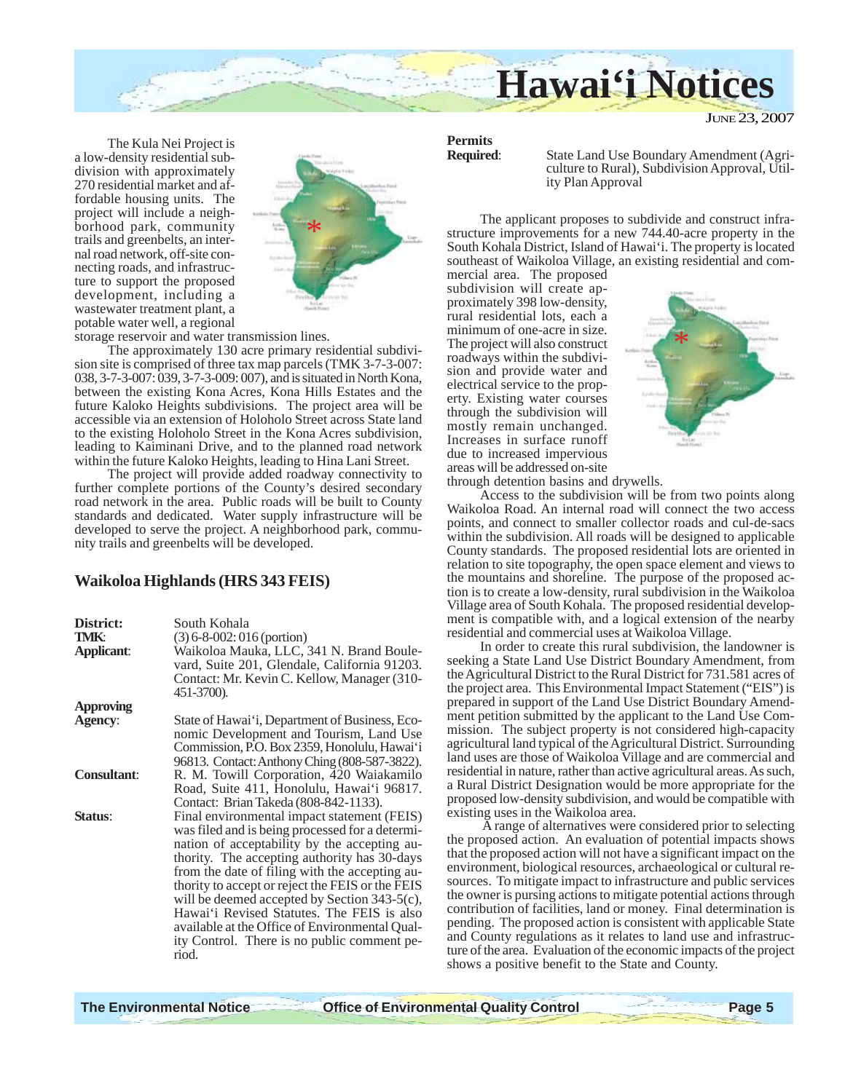

JUNE 23, 2007

The Kula Nei Project is a low-density residential subdivision with approximately 270 residential market and affordable housing units. The project will include a neighborhood park, community trails and greenbelts, an internal road network, off-site connecting roads, and infrastructure to support the proposed development, including a wastewater treatment plant, a potable water well, a regional



storage reservoir and water transmission lines.

The approximately 130 acre primary residential subdivision site is comprised of three tax map parcels (TMK 3-7-3-007: 038, 3-7-3-007: 039, 3-7-3-009: 007), and is situated in North Kona, between the existing Kona Acres, Kona Hills Estates and the future Kaloko Heights subdivisions. The project area will be accessible via an extension of Holoholo Street across State land to the existing Holoholo Street in the Kona Acres subdivision, leading to Kaiminani Drive, and to the planned road network within the future Kaloko Heights, leading to Hina Lani Street.

The project will provide added roadway connectivity to further complete portions of the County's desired secondary road network in the area. Public roads will be built to County standards and dedicated. Water supply infrastructure will be developed to serve the project. A neighborhood park, community trails and greenbelts will be developed.

#### **Waikoloa Highlands (HRS 343 FEIS)**

| District:<br>TMK:  | South Kohala<br>$(3) 6 - 8 - 002$ : 016 (portion)                                                                                                                                                                                                                                                                                                                                                                                                                                                            |
|--------------------|--------------------------------------------------------------------------------------------------------------------------------------------------------------------------------------------------------------------------------------------------------------------------------------------------------------------------------------------------------------------------------------------------------------------------------------------------------------------------------------------------------------|
| <b>Applicant:</b>  | Waikoloa Mauka, LLC, 341 N. Brand Boule-<br>vard, Suite 201, Glendale, California 91203.<br>Contact: Mr. Kevin C. Kellow, Manager (310-<br>451-3700).                                                                                                                                                                                                                                                                                                                                                        |
| Approving          |                                                                                                                                                                                                                                                                                                                                                                                                                                                                                                              |
| <b>Agency:</b>     | State of Hawai'i, Department of Business, Eco-<br>nomic Development and Tourism, Land Use<br>Commission, P.O. Box 2359, Honolulu, Hawai'i<br>96813. Contact: Anthony Ching (808-587-3822).                                                                                                                                                                                                                                                                                                                   |
| <b>Consultant:</b> | R. M. Towill Corporation, 420 Waiakamilo<br>Road, Suite 411, Honolulu, Hawai'i 96817.<br>Contact: Brian Takeda (808-842-1133).                                                                                                                                                                                                                                                                                                                                                                               |
| Status:            | Final environmental impact statement (FEIS)<br>was filed and is being processed for a determi-<br>nation of acceptability by the accepting au-<br>thority. The accepting authority has 30-days<br>from the date of filing with the accepting au-<br>thority to accept or reject the FEIS or the FEIS<br>will be deemed accepted by Section 343-5(c),<br>Hawai'i Revised Statutes. The FEIS is also<br>available at the Office of Environmental Qual-<br>ity Control. There is no public comment pe-<br>riod. |

## **Permits**

**State Land Use Boundary Amendment (Agri**culture to Rural), Subdivision Approval, Utility Plan Approval

The applicant proposes to subdivide and construct infrastructure improvements for a new 744.40-acre property in the South Kohala District, Island of Hawai'i. The property is located southeast of Waikoloa Village, an existing residential and com-

mercial area. The proposed subdivision will create approximately 398 low-density, rural residential lots, each a minimum of one-acre in size. The project will also construct roadways within the subdivision and provide water and electrical service to the property. Existing water courses through the subdivision will mostly remain unchanged. Increases in surface runoff due to increased impervious areas will be addressed on-site



through detention basins and drywells.

Access to the subdivision will be from two points along Waikoloa Road. An internal road will connect the two access points, and connect to smaller collector roads and cul-de-sacs within the subdivision. All roads will be designed to applicable County standards. The proposed residential lots are oriented in relation to site topography, the open space element and views to the mountains and shoreline. The purpose of the proposed action is to create a low-density, rural subdivision in the Waikoloa Village area of South Kohala. The proposed residential development is compatible with, and a logical extension of the nearby residential and commercial uses at Waikoloa Village.

In order to create this rural subdivision, the landowner is seeking a State Land Use District Boundary Amendment, from the Agricultural District to the Rural District for 731.581 acres of the project area. This Environmental Impact Statement ("EIS") is prepared in support of the Land Use District Boundary Amendment petition submitted by the applicant to the Land Use Commission. The subject property is not considered high-capacity agricultural land typical of the Agricultural District. Surrounding land uses are those of Waikoloa Village and are commercial and residential in nature, rather than active agricultural areas. As such, a Rural District Designation would be more appropriate for the proposed low-density subdivision, and would be compatible with existing uses in the Waikoloa area.

 A range of alternatives were considered prior to selecting the proposed action. An evaluation of potential impacts shows that the proposed action will not have a significant impact on the environment, biological resources, archaeological or cultural resources. To mitigate impact to infrastructure and public services the owner is pursing actions to mitigate potential actions through contribution of facilities, land or money. Final determination is pending. The proposed action is consistent with applicable State and County regulations as it relates to land use and infrastructure of the area. Evaluation of the economic impacts of the project shows a positive benefit to the State and County.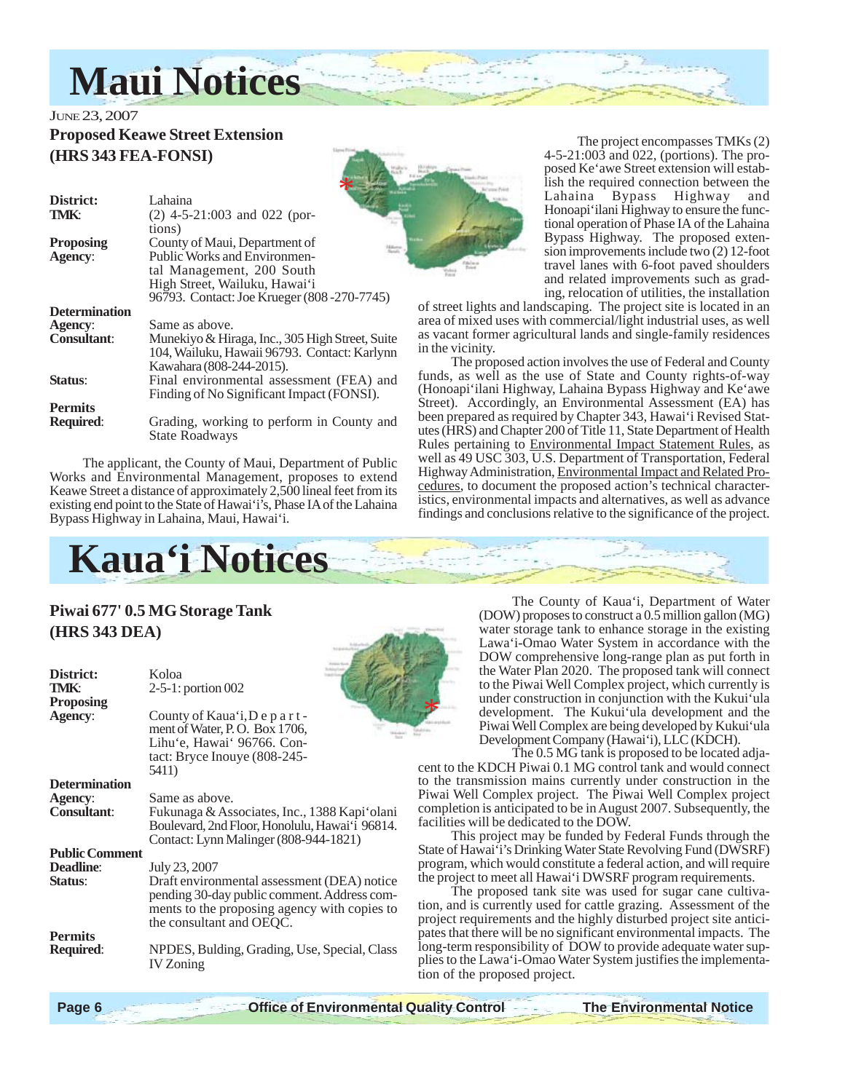

## JUNE 23, 2007 **Proposed Keawe Street Extension (HRS 343 FEA-FONSI)**

| District:            | Lahaina                                         |
|----------------------|-------------------------------------------------|
| <b>TMK:</b>          | $(2)$ 4-5-21:003 and 022 (por-                  |
|                      | tions)                                          |
| <b>Proposing</b>     | County of Maui, Department of                   |
| <b>Agency:</b>       | <b>Public Works and Environmen-</b>             |
|                      | tal Management, 200 South                       |
|                      | High Street, Wailuku, Hawai'i                   |
|                      | 96793. Contact: Joe Krueger (808 - 270 - 7745)  |
| <b>Determination</b> |                                                 |
| Agency:              | Same as above.                                  |
| <b>Consultant:</b>   | Munekiyo & Hiraga, Inc., 305 High Street, Suite |
|                      | 104, Wailuku, Hawaii 96793. Contact: Karlynn    |
|                      | Kawahara (808-244-2015).                        |
| <b>Status:</b>       | Final environmental assessment (FEA) and        |
|                      | Finding of No Significant Impact (FONSI).       |
| <b>Permits</b>       |                                                 |
| <b>Required:</b>     | Grading, working to perform in County and       |
|                      | <b>State Roadways</b>                           |

The applicant, the County of Maui, Department of Public Works and Environmental Management, proposes to extend Keawe Street a distance of approximately 2,500 lineal feet from its existing end point to the State of Hawai'i's, Phase IA of the Lahaina Bypass Highway in Lahaina, Maui, Hawai'i.



The project encompasses TMKs (2) 4-5-21:003 and 022, (portions). The proposed Ke'awe Street extension will establish the required connection between the Lahaina Bypass Highway and Honoapi'ilani Highway to ensure the functional operation of Phase IA of the Lahaina Bypass Highway. The proposed extension improvements include two (2) 12-foot travel lanes with 6-foot paved shoulders and related improvements such as grading, relocation of utilities, the installation

of street lights and landscaping. The project site is located in an area of mixed uses with commercial/light industrial uses, as well as vacant former agricultural lands and single-family residences in the vicinity.

The proposed action involves the use of Federal and County funds, as well as the use of State and County rights-of-way (Honoapi'ilani Highway, Lahaina Bypass Highway and Ke'awe Street). Accordingly, an Environmental Assessment (EA) has been prepared as required by Chapter 343, Hawai'i Revised Statutes (HRS) and Chapter 200 of Title 11, State Department of Health Rules pertaining to Environmental Impact Statement Rules, as well as 49 USC 303, U.S. Department of Transportation, Federal Highway Administration, Environmental Impact and Related Procedures, to document the proposed action's technical characteristics, environmental impacts and alternatives, as well as advance findings and conclusions relative to the significance of the project.



\*

## **Piwai 677' 0.5 MG Storage Tank (HRS 343 DEA)**

| District:<br>TMK:<br>Proposing | Koloa<br>2-5-1: portion 002                                                                                                             |             |
|--------------------------------|-----------------------------------------------------------------------------------------------------------------------------------------|-------------|
| <b>Agency:</b>                 | County of Kaua'i, Depart-<br>ment of Water, P.O. Box 1706,<br>Lihu'e, Hawai' 96766. Con-<br>tact: Bryce Inouye (808-245-                |             |
|                                | 5411)                                                                                                                                   |             |
| <b>Determination</b>           |                                                                                                                                         |             |
| <b>Agency:</b>                 | Same as above.                                                                                                                          | t<br>F<br>C |
| <b>Consultant:</b>             | Fukunaga & Associates, Inc., 1388 Kapi'olani<br>Boulevard, 2nd Floor, Honolulu, Hawai'i 96814.<br>Contact: Lynn Malinger (808-944-1821) | $\mathbf f$ |
| <b>Public Comment</b>          |                                                                                                                                         | S           |
| <b>Deadline:</b>               | July 23, 2007                                                                                                                           |             |
| Status:                        | Draft environmental assessment (DEA) notice<br>pending 30-day public comment. Address com-                                              | r<br>ti     |
|                                | ments to the proposing agency with copies to                                                                                            | t:          |
|                                | the consultant and OEQC.                                                                                                                |             |
| <b>Permits</b>                 |                                                                                                                                         | F<br>1      |
| <b>Required:</b>               | NPDES, Bulding, Grading, Use, Special, Class                                                                                            |             |
|                                | <b>IV</b> Zoning                                                                                                                        | F           |

The County of Kaua'i, Department of Water (DOW) proposes to construct a 0.5 million gallon (MG) water storage tank to enhance storage in the existing Lawa'i-Omao Water System in accordance with the DOW comprehensive long-range plan as put forth in the Water Plan 2020. The proposed tank will connect to the Piwai Well Complex project, which currently is under construction in conjunction with the Kukui'ula development. The Kukui'ula development and the Piwai Well Complex are being developed by Kukui'ula Development Company (Hawai'i), LLC (KDCH).

The 0.5 MG tank is proposed to be located adjacent to the KDCH Piwai 0.1 MG control tank and would connect to the transmission mains currently under construction in the Piwai Well Complex project. The Piwai Well Complex project completion is anticipated to be in August 2007. Subsequently, the facilities will be dedicated to the DOW.

This project may be funded by Federal Funds through the State of Hawai'i's Drinking Water State Revolving Fund (DWSRF) program, which would constitute a federal action, and will require he project to meet all Hawai'i DWSRF program requirements.

The proposed tank site was used for sugar cane cultivation, and is currently used for cattle grazing. Assessment of the project requirements and the highly disturbed project site anticipates that there will be no significant environmental impacts. The ong-term responsibility of DOW to provide adequate water supplies to the Lawa'i-Omao Water System justifies the implementaion of the proposed project.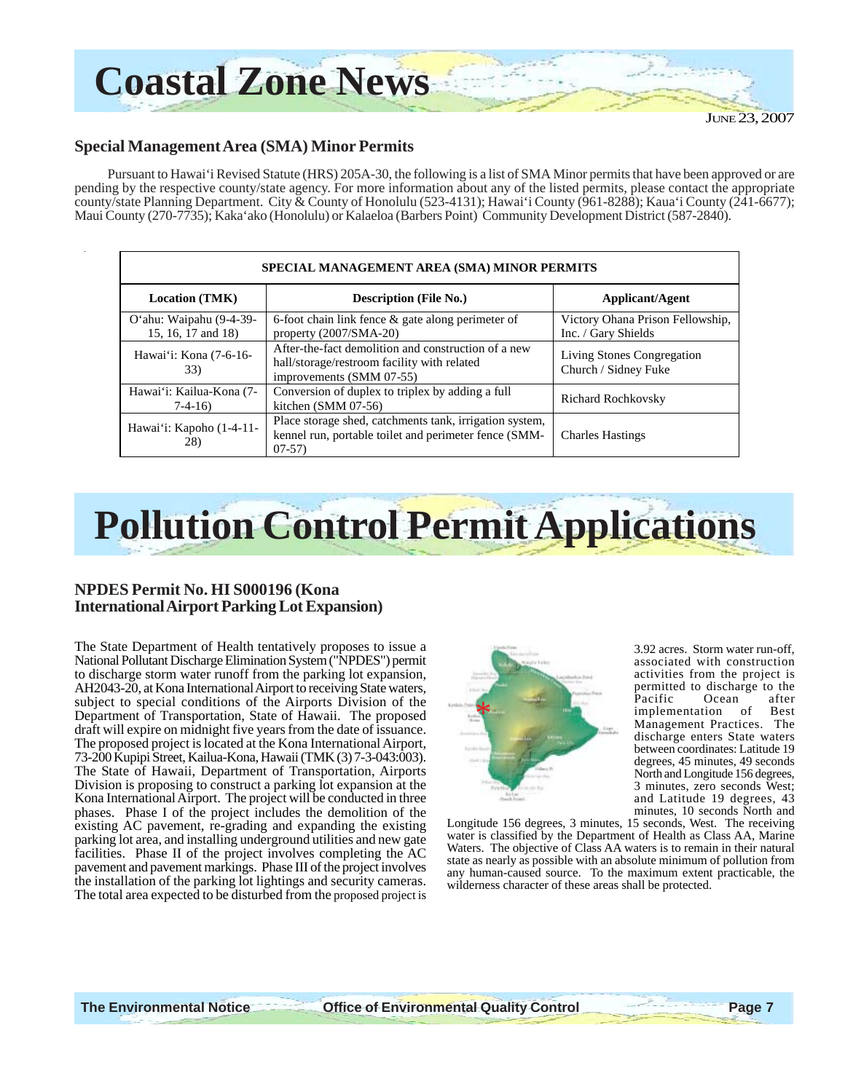

#### **Special Management Area (SMA) Minor Permits**

Pursuant to Hawai'i Revised Statute (HRS) 205A-30, the following is a list of SMA Minor permits that have been approved or are pending by the respective county/state agency. For more information about any of the listed permits, please contact the appropriate county/state Planning Department. City & County of Honolulu (523-4131); Hawai'i County (961-8288); Kaua'i County (241-6677); Maui County (270-7735); Kaka'ako (Honolulu) or Kalaeloa (Barbers Point) Community Development District (587-2840).

| SPECIAL MANAGEMENT AREA (SMA) MINOR PERMITS   |                                                                                                                                |                                                         |
|-----------------------------------------------|--------------------------------------------------------------------------------------------------------------------------------|---------------------------------------------------------|
| <b>Location (TMK)</b>                         | <b>Description (File No.)</b>                                                                                                  | Applicant/Agent                                         |
| O'ahu: Waipahu (9-4-39-<br>15, 16, 17 and 18) | 6-foot chain link fence $\&$ gate along perimeter of<br>property $(2007/SMA-20)$                                               | Victory Ohana Prison Fellowship,<br>Inc. / Gary Shields |
| Hawai'i: Kona (7-6-16-<br>33)                 | After-the-fact demolition and construction of a new<br>hall/storage/restroom facility with related<br>improvements (SMM 07-55) | Living Stones Congregation<br>Church / Sidney Fuke      |
| Hawai'i: Kailua-Kona (7-<br>$7-4-16$          | Conversion of duplex to triplex by adding a full<br>kitchen $(SMM 07-56)$                                                      | <b>Richard Rochkovsky</b>                               |
| Hawai'i: Kapoho (1-4-11-<br>28)               | Place storage shed, catchments tank, irrigation system,<br>kennel run, portable toilet and perimeter fence (SMM-<br>$07-57$    | <b>Charles Hastings</b>                                 |

# **Pollution Control Permit Applications**

#### **NPDES Permit No. HI S000196 (Kona International Airport Parking Lot Expansion)**

The State Department of Health tentatively proposes to issue a National Pollutant Discharge Elimination System ("NPDES") permit to discharge storm water runoff from the parking lot expansion, AH2043-20, at Kona International Airport to receiving State waters, subject to special conditions of the Airports Division of the Department of Transportation, State of Hawaii. The proposed draft will expire on midnight five years from the date of issuance. The proposed project is located at the Kona International Airport, 73-200 Kupipi Street, Kailua-Kona, Hawaii (TMK (3) 7-3-043:003). The State of Hawaii, Department of Transportation, Airports Division is proposing to construct a parking lot expansion at the Kona International Airport. The project will be conducted in three phases. Phase I of the project includes the demolition of the existing AC pavement, re-grading and expanding the existing parking lot area, and installing underground utilities and new gate facilities. Phase II of the project involves completing the AC pavement and pavement markings. Phase III of the project involves the installation of the parking lot lightings and security cameras. The total area expected to be disturbed from the proposed project is



3.92 acres. Storm water run-off, associated with construction activities from the project is permitted to discharge to the<br>Pacific Ocean after Ocean implementation of Best Management Practices. The discharge enters State waters between coordinates: Latitude 19 degrees, 45 minutes, 49 seconds North and Longitude 156 degrees, 3 minutes, zero seconds West; and Latitude 19 degrees, 43 minutes, 10 seconds North and

Longitude 156 degrees, 3 minutes, 15 seconds, West. The receiving water is classified by the Department of Health as Class AA, Marine Waters. The objective of Class AA waters is to remain in their natural state as nearly as possible with an absolute minimum of pollution from any human-caused source. To the maximum extent practicable, the wilderness character of these areas shall be protected.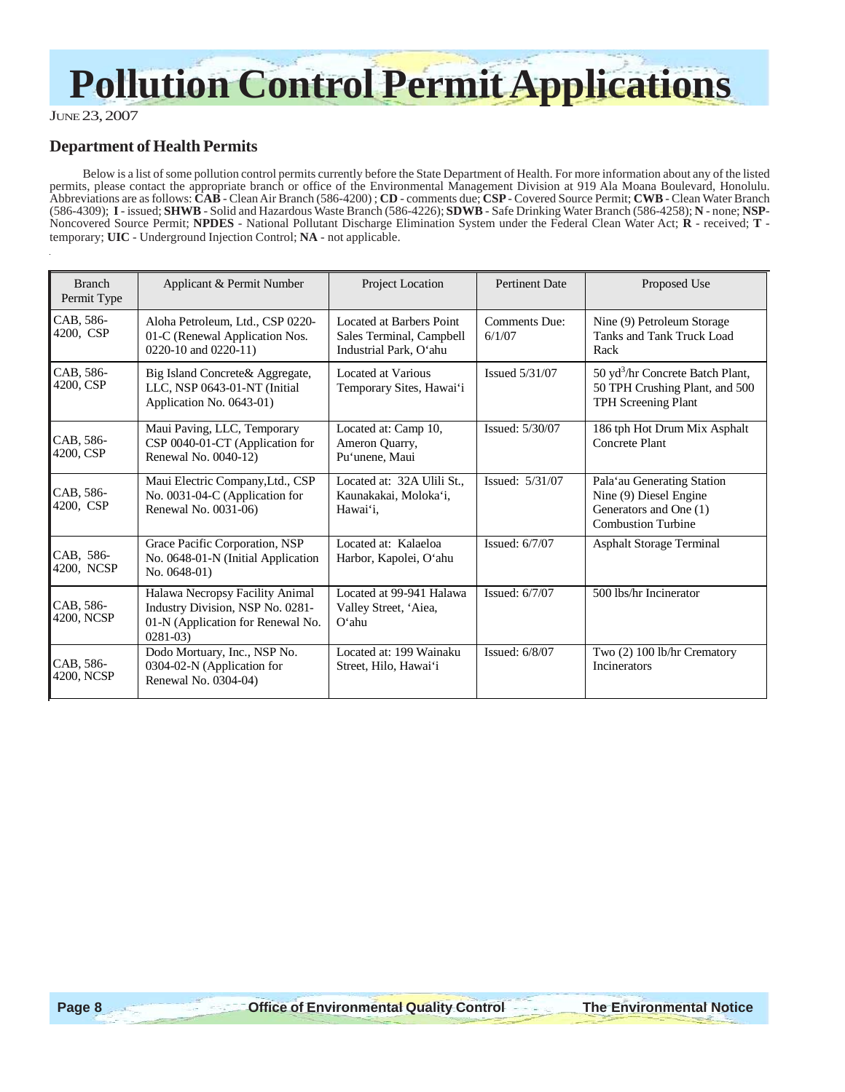# **Pollution Control Permit Applications**

JUNE 23, 2007

### **Department of Health Permits**

Below is a list of some pollution control permits currently before the State Department of Health. For more information about any of the listed permits, please contact the appropriate branch or office of the Environmental Management Division at 919 Ala Moana Boulevard, Honolulu. Abbreviations are as follows: **CAB** - Clean Air Branch (586-4200) ; **CD** - comments due; **CSP** - Covered Source Permit; **CWB** - Clean Water Branch (586-4309); **I** - issued; **SHWB** - Solid and Hazardous Waste Branch (586-4226); **SDWB** - Safe Drinking Water Branch (586-4258); **N** - none; **NSP**-Noncovered Source Permit; **NPDES** - National Pollutant Discharge Elimination System under the Federal Clean Water Act; **R** - received; **T** temporary; **UIC** - Underground Injection Control; **NA** - not applicable.

| <b>Branch</b><br>Permit Type | Applicant & Permit Number                                                                                               | Project Location                                                               | <b>Pertinent Date</b>          | Proposed Use                                                                                                |
|------------------------------|-------------------------------------------------------------------------------------------------------------------------|--------------------------------------------------------------------------------|--------------------------------|-------------------------------------------------------------------------------------------------------------|
| CAB, 586-<br>4200, CSP       | Aloha Petroleum, Ltd., CSP 0220-<br>01-C (Renewal Application Nos.<br>$0220-10$ and $0220-11$ )                         | Located at Barbers Point<br>Sales Terminal, Campbell<br>Industrial Park, O'ahu | <b>Comments Due:</b><br>6/1/07 | Nine (9) Petroleum Storage<br>Tanks and Tank Truck Load<br>Rack                                             |
| CAB, 586-<br>4200, CSP       | Big Island Concrete& Aggregate,<br>LLC, NSP 0643-01-NT (Initial<br>Application No. 0643-01)                             | Located at Various<br>Temporary Sites, Hawai'i                                 | Issued 5/31/07                 | 50 yd <sup>3</sup> /hr Concrete Batch Plant,<br>50 TPH Crushing Plant, and 500<br>TPH Screening Plant       |
| CAB, 586-<br>4200, CSP       | Maui Paving, LLC, Temporary<br>CSP 0040-01-CT (Application for<br>Renewal No. 0040-12)                                  | Located at: Camp 10,<br>Ameron Quarry,<br>Pu'unene, Maui                       | Issued: 5/30/07                | 186 tph Hot Drum Mix Asphalt<br>Concrete Plant                                                              |
| CAB, 586-<br>4200, CSP       | Maui Electric Company, Ltd., CSP<br>No. 0031-04-C (Application for<br>Renewal No. 0031-06)                              | Located at: 32A Ulili St.,<br>Kaunakakai, Moloka'i,<br>Hawai'i.                | Issued: 5/31/07                | Pala'au Generating Station<br>Nine (9) Diesel Engine<br>Generators and One (1)<br><b>Combustion Turbine</b> |
| CAB, 586-<br>4200, NCSP      | Grace Pacific Corporation, NSP<br>No. 0648-01-N (Initial Application<br>No. $0648-01$ )                                 | Located at: Kalaeloa<br>Harbor, Kapolei, O'ahu                                 | Issued: $6/7/07$               | <b>Asphalt Storage Terminal</b>                                                                             |
| CAB, 586-<br>4200, NCSP      | Halawa Necropsy Facility Animal<br>Industry Division, NSP No. 0281-<br>01-N (Application for Renewal No.<br>$0281 - 03$ | Located at 99-941 Halawa<br>Valley Street, 'Aiea,<br>$O'$ ahu                  | Issued: 6/7/07                 | 500 lbs/hr Incinerator                                                                                      |
| CAB, 586-<br>4200, NCSP      | Dodo Mortuary, Inc., NSP No.<br>0304-02-N (Application for<br>Renewal No. 0304-04)                                      | Located at: 199 Wainaku<br>Street, Hilo, Hawai'i                               | Issued: $6/8/07$               | Two (2) 100 lb/hr Crematory<br>Incinerators                                                                 |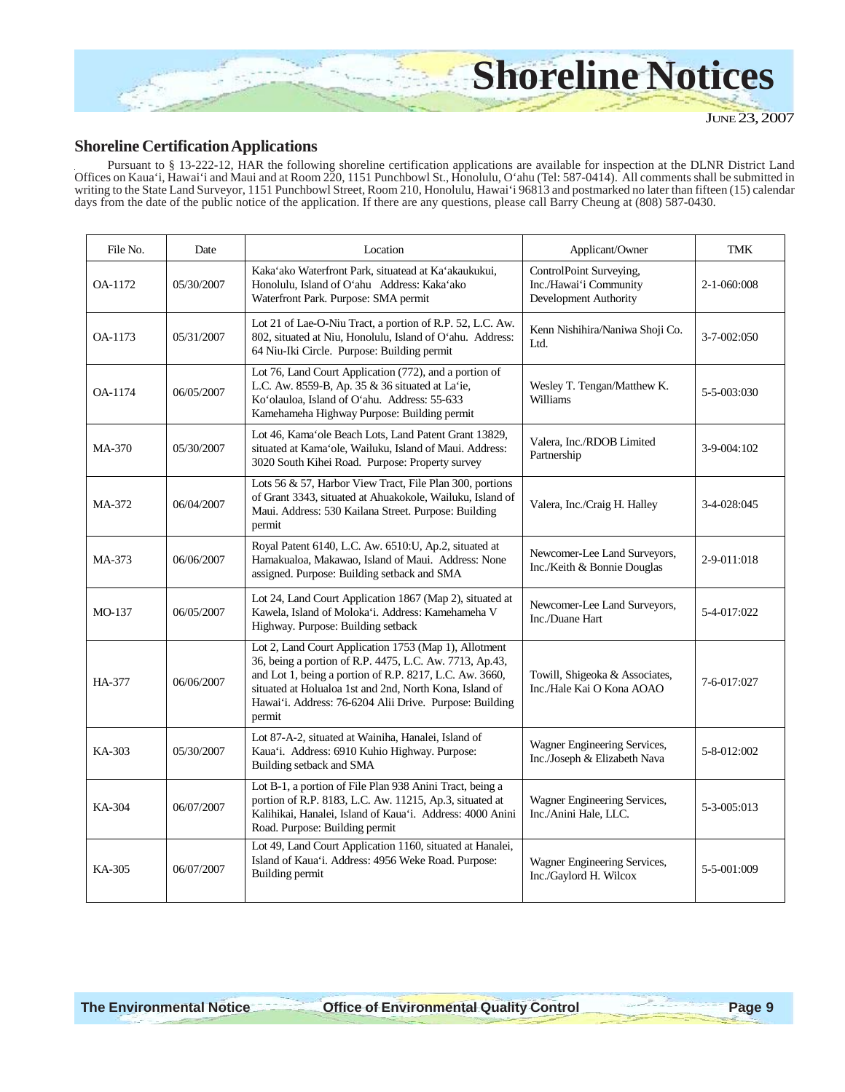

### **Shoreline Certification Applications**

Pursuant to § 13-222-12, HAR the following shoreline certification applications are available for inspection at the DLNR District Land Offices on Kaua'i, Hawai'i and Maui and at Room 220, 1151 Punchbowl St., Honolulu, O'ahu (Tel: 587-0414). All comments shall be submitted in writing to the State Land Surveyor, 1151 Punchbowl Street, Room 210, Honolulu, Hawai'i 96813 and postmarked no later than fifteen (15) calendar days from the date of the public notice of the application. If there are any questions, please call Barry Cheung at (808) 587-0430.

| File No. | Date       | Location                                                                                                                                                                                                                                                                                                    | Applicant/Owner                                                            | <b>TMK</b>  |
|----------|------------|-------------------------------------------------------------------------------------------------------------------------------------------------------------------------------------------------------------------------------------------------------------------------------------------------------------|----------------------------------------------------------------------------|-------------|
| OA-1172  | 05/30/2007 | Kaka'ako Waterfront Park, situatead at Ka'akaukukui,<br>Honolulu, Island of O'ahu Address: Kaka'ako<br>Waterfront Park. Purpose: SMA permit                                                                                                                                                                 | ControlPoint Surveying,<br>Inc./Hawai'i Community<br>Development Authority | 2-1-060:008 |
| OA-1173  | 05/31/2007 | Lot 21 of Lae-O-Niu Tract, a portion of R.P. 52, L.C. Aw.<br>802, situated at Niu, Honolulu, Island of O'ahu. Address:<br>64 Niu-Iki Circle. Purpose: Building permit                                                                                                                                       | Kenn Nishihira/Naniwa Shoji Co.<br>Ltd.                                    | 3-7-002:050 |
| OA-1174  | 06/05/2007 | Lot 76, Land Court Application (772), and a portion of<br>L.C. Aw. 8559-B, Ap. 35 & 36 situated at La'ie,<br>Ko'olauloa, Island of O'ahu. Address: 55-633<br>Kamehameha Highway Purpose: Building permit                                                                                                    | Wesley T. Tengan/Matthew K.<br>Williams                                    | 5-5-003:030 |
| MA-370   | 05/30/2007 | Lot 46, Kama'ole Beach Lots, Land Patent Grant 13829,<br>situated at Kama'ole, Wailuku, Island of Maui. Address:<br>3020 South Kihei Road. Purpose: Property survey                                                                                                                                         | Valera, Inc./RDOB Limited<br>Partnership                                   | 3-9-004:102 |
| MA-372   | 06/04/2007 | Lots 56 & 57, Harbor View Tract, File Plan 300, portions<br>of Grant 3343, situated at Ahuakokole, Wailuku, Island of<br>Maui. Address: 530 Kailana Street. Purpose: Building<br>permit                                                                                                                     | Valera, Inc./Craig H. Halley                                               | 3-4-028:045 |
| MA-373   | 06/06/2007 | Royal Patent 6140, L.C. Aw. 6510: U, Ap.2, situated at<br>Hamakualoa, Makawao, Island of Maui. Address: None<br>assigned. Purpose: Building setback and SMA                                                                                                                                                 | Newcomer-Lee Land Surveyors,<br>Inc./Keith & Bonnie Douglas                | 2-9-011:018 |
| $MO-137$ | 06/05/2007 | Lot 24, Land Court Application 1867 (Map 2), situated at<br>Kawela, Island of Moloka'i. Address: Kamehameha V<br>Highway. Purpose: Building setback                                                                                                                                                         | Newcomer-Lee Land Surveyors,<br>Inc./Duane Hart                            | 5-4-017:022 |
| HA-377   | 06/06/2007 | Lot 2, Land Court Application 1753 (Map 1), Allotment<br>36, being a portion of R.P. 4475, L.C. Aw. 7713, Ap.43,<br>and Lot 1, being a portion of R.P. 8217, L.C. Aw. 3660,<br>situated at Holualoa 1st and 2nd, North Kona, Island of<br>Hawai'i. Address: 76-6204 Alii Drive. Purpose: Building<br>permit | Towill, Shigeoka & Associates,<br>Inc./Hale Kai O Kona AOAO                | 7-6-017:027 |
| KA-303   | 05/30/2007 | Lot 87-A-2, situated at Wainiha, Hanalei, Island of<br>Kaua'i. Address: 6910 Kuhio Highway. Purpose:<br>Building setback and SMA                                                                                                                                                                            | Wagner Engineering Services,<br>Inc./Joseph & Elizabeth Nava               | 5-8-012:002 |
| KA-304   | 06/07/2007 | Lot B-1, a portion of File Plan 938 Anini Tract, being a<br>portion of R.P. 8183, L.C. Aw. 11215, Ap.3, situated at<br>Kalihikai, Hanalei, Island of Kaua'i. Address: 4000 Anini<br>Road. Purpose: Building permit                                                                                          | Wagner Engineering Services,<br>Inc./Anini Hale, LLC.                      | 5-3-005:013 |
| KA-305   | 06/07/2007 | Lot 49, Land Court Application 1160, situated at Hanalei,<br>Island of Kaua'i. Address: 4956 Weke Road. Purpose:<br>Building permit                                                                                                                                                                         | Wagner Engineering Services,<br>Inc./Gaylord H. Wilcox                     | 5-5-001:009 |